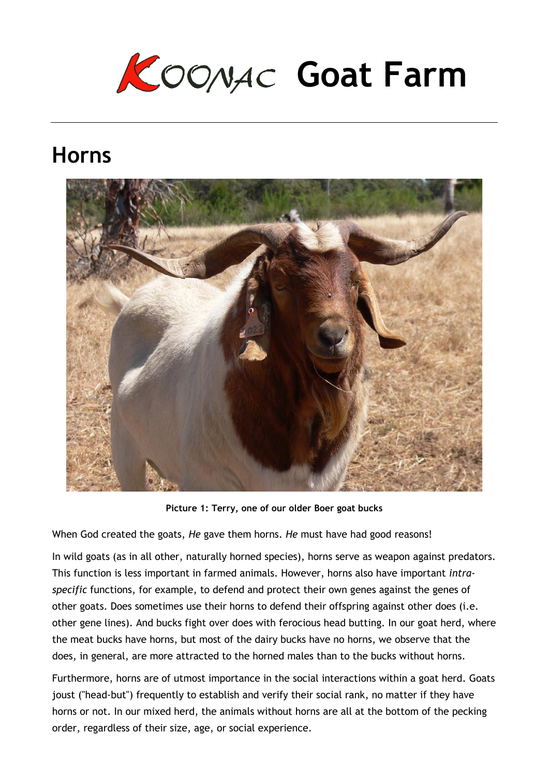

## **Horns**



**Picture 1: Terry, one of our older Boer goat bucks**

When God created the goats, *He* gave them horns. *He* must have had good reasons!

In wild goats (as in all other, naturally horned species), horns serve as weapon against predators. This function is less important in farmed animals. However, horns also have important *intraspecific* functions, for example, to defend and protect their own genes against the genes of other goats. Does sometimes use their horns to defend their offspring against other does (i.e. other gene lines). And bucks fight over does with ferocious head butting. In our goat herd, where the meat bucks have horns, but most of the dairy bucks have no horns, we observe that the does, in general, are more attracted to the horned males than to the bucks without horns.

Furthermore, horns are of utmost importance in the social interactions within a goat herd. Goats joust ("head-but") frequently to establish and verify their social rank, no matter if they have horns or not. In our mixed herd, the animals without horns are all at the bottom of the pecking order, regardless of their size, age, or social experience.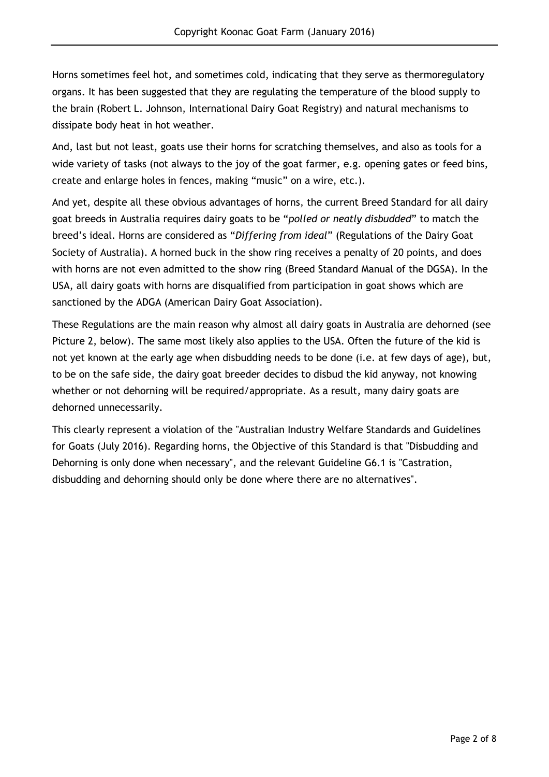Horns sometimes feel hot, and sometimes cold, indicating that they serve as thermoregulatory organs. It has been suggested that they are regulating the temperature of the blood supply to the brain (Robert L. Johnson, International Dairy Goat Registry) and natural mechanisms to dissipate body heat in hot weather.

And, last but not least, goats use their horns for scratching themselves, and also as tools for a wide variety of tasks (not always to the joy of the goat farmer, e.g. opening gates or feed bins, create and enlarge holes in fences, making "music" on a wire, etc.).

And yet, despite all these obvious advantages of horns, the current Breed Standard for all dairy goat breeds in Australia requires dairy goats to be "*polled or neatly disbudded*" to match the breed's ideal. Horns are considered as "*Differing from ideal*" (Regulations of the Dairy Goat Society of Australia). A horned buck in the show ring receives a penalty of 20 points, and does with horns are not even admitted to the show ring (Breed Standard Manual of the DGSA). In the USA, all dairy goats with horns are disqualified from participation in goat shows which are sanctioned by the ADGA (American Dairy Goat Association).

These Regulations are the main reason why almost all dairy goats in Australia are dehorned (see Picture 2, below). The same most likely also applies to the USA. Often the future of the kid is not yet known at the early age when disbudding needs to be done (i.e. at few days of age), but, to be on the safe side, the dairy goat breeder decides to disbud the kid anyway, not knowing whether or not dehorning will be required/appropriate. As a result, many dairy goats are dehorned unnecessarily.

This clearly represent a violation of the "Australian Industry Welfare Standards and Guidelines for Goats (July 2016). Regarding horns, the Objective of this Standard is that "Disbudding and Dehorning is only done when necessary", and the relevant Guideline G6.1 is "Castration, disbudding and dehorning should only be done where there are no alternatives".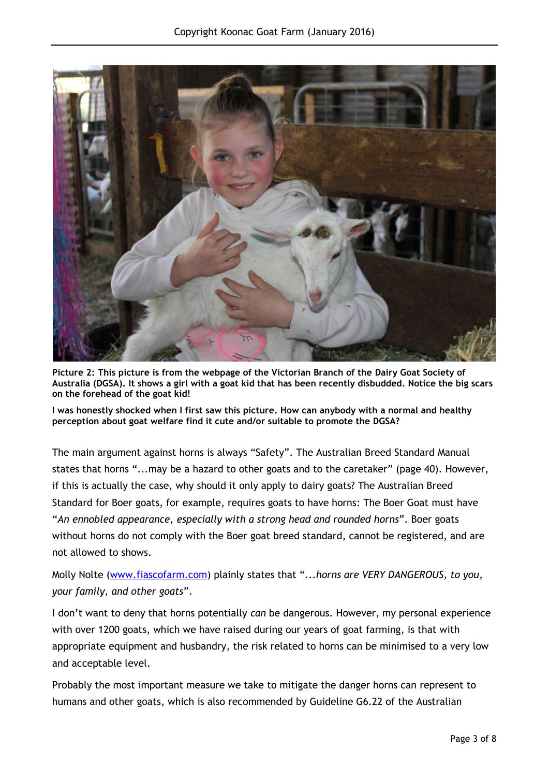

**Picture 2: This picture is from the webpage of the Victorian Branch of the Dairy Goat Society of Australia (DGSA). It shows a girl with a goat kid that has been recently disbudded. Notice the big scars on the forehead of the goat kid!**

**I was honestly shocked when I first saw this picture. How can anybody with a normal and healthy perception about goat welfare find it cute and/or suitable to promote the DGSA?**

The main argument against horns is always "Safety". The Australian Breed Standard Manual states that horns "...may be a hazard to other goats and to the caretaker" (page 40). However, if this is actually the case, why should it only apply to dairy goats? The Australian Breed Standard for Boer goats, for example, requires goats to have horns: The Boer Goat must have "*An ennobled appearance, especially with a strong head and rounded horns*". Boer goats without horns do not comply with the Boer goat breed standard, cannot be registered, and are not allowed to shows.

Molly Nolte [\(www.fiascofarm.com](http://www.fiascofarm.com/)) plainly states that "...*horns are VERY DANGEROUS, to you, your family, and other goats*".

I don't want to deny that horns potentially *can* be dangerous. However, my personal experience with over 1200 goats, which we have raised during our years of goat farming, is that with appropriate equipment and husbandry, the risk related to horns can be minimised to a very low and acceptable level.

Probably the most important measure we take to mitigate the danger horns can represent to humans and other goats, which is also recommended by Guideline G6.22 of the Australian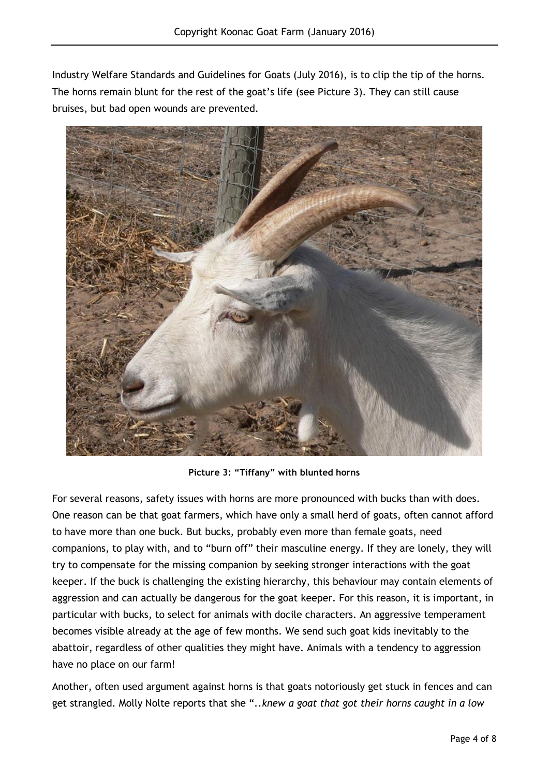Industry Welfare Standards and Guidelines for Goats (July 2016), is to clip the tip of the horns. The horns remain blunt for the rest of the goat's life (see Picture 3). They can still cause bruises, but bad open wounds are prevented.



**Picture 3: "Tiffany" with blunted horns**

For several reasons, safety issues with horns are more pronounced with bucks than with does. One reason can be that goat farmers, which have only a small herd of goats, often cannot afford to have more than one buck. But bucks, probably even more than female goats, need companions, to play with, and to "burn off" their masculine energy. If they are lonely, they will try to compensate for the missing companion by seeking stronger interactions with the goat keeper. If the buck is challenging the existing hierarchy, this behaviour may contain elements of aggression and can actually be dangerous for the goat keeper. For this reason, it is important, in particular with bucks, to select for animals with docile characters. An aggressive temperament becomes visible already at the age of few months. We send such goat kids inevitably to the abattoir, regardless of other qualities they might have. Animals with a tendency to aggression have no place on our farm!

Another, often used argument against horns is that goats notoriously get stuck in fences and can get strangled. Molly Nolte reports that she "*..knew a goat that got their horns caught in a low*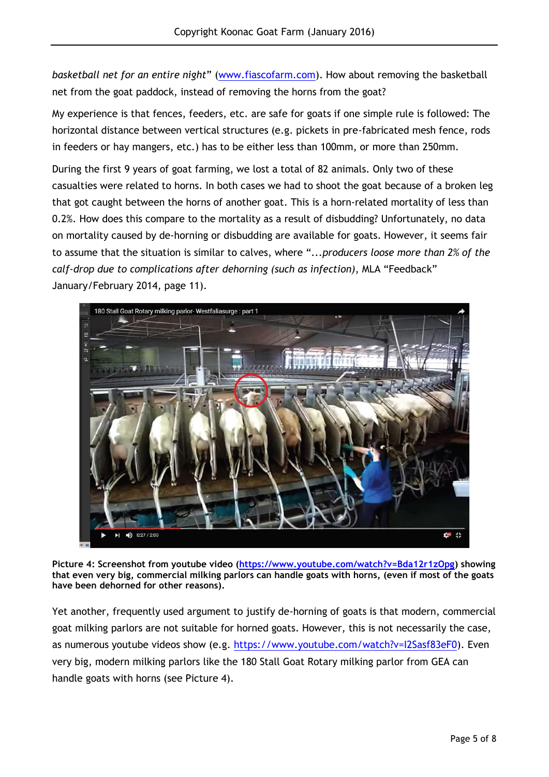*basketball net for an entire night*" ([www.fiascofarm.com\)](http://www.fiascofarm.com/). How about removing the basketball net from the goat paddock, instead of removing the horns from the goat?

My experience is that fences, feeders, etc. are safe for goats if one simple rule is followed: The horizontal distance between vertical structures (e.g. pickets in pre-fabricated mesh fence, rods in feeders or hay mangers, etc.) has to be either less than 100mm, or more than 250mm.

During the first 9 years of goat farming, we lost a total of 82 animals. Only two of these casualties were related to horns. In both cases we had to shoot the goat because of a broken leg that got caught between the horns of another goat. This is a horn-related mortality of less than 0.2%. How does this compare to the mortality as a result of disbudding? Unfortunately, no data on mortality caused by de-horning or disbudding are available for goats. However, it seems fair to assume that the situation is similar to calves, where "...*producers loose more than 2% of the calf-drop due to complications after dehorning (such as infection)*, MLA "Feedback" January/February 2014, page 11).



**Picture 4: Screenshot from youtube video [\(https://www.youtube.com/watch?v=Bda12r1zOpg\)](https://www.youtube.com/watch?v=Bda12r1zOpg) showing that even very big, commercial milking parlors can handle goats with horns, (even if most of the goats have been dehorned for other reasons).**

Yet another, frequently used argument to justify de-horning of goats is that modern, commercial goat milking parlors are not suitable for horned goats. However, this is not necessarily the case, as numerous youtube videos show (e.g. [https://www.youtube.com/watch?v=I2Sasf83eF0\)](https://www.youtube.com/watch?v=I2Sasf83eF0). Even very big, modern milking parlors like the 180 Stall Goat Rotary milking parlor from GEA can handle goats with horns (see Picture 4).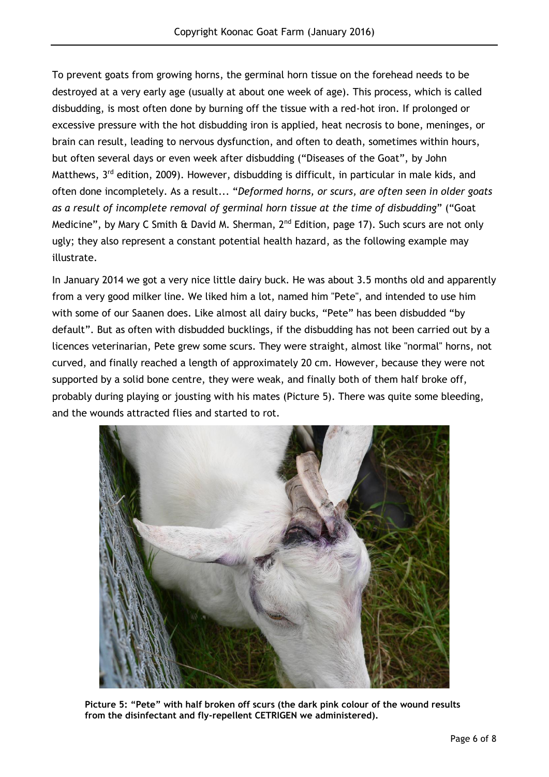To prevent goats from growing horns, the germinal horn tissue on the forehead needs to be destroyed at a very early age (usually at about one week of age). This process, which is called disbudding, is most often done by burning off the tissue with a red-hot iron. If prolonged or excessive pressure with the hot disbudding iron is applied, heat necrosis to bone, meninges, or brain can result, leading to nervous dysfunction, and often to death, sometimes within hours, but often several days or even week after disbudding ("Diseases of the Goat", by John Matthews, 3<sup>rd</sup> edition, 2009). However, disbudding is difficult, in particular in male kids, and often done incompletely. As a result... "*Deformed horns, or scurs, are often seen in older goats as a result of incomplete removal of germinal horn tissue at the time of disbudding*" ("Goat Medicine", by Mary C Smith & David M. Sherman, 2<sup>nd</sup> Edition, page 17). Such scurs are not only ugly; they also represent a constant potential health hazard, as the following example may illustrate.

In January 2014 we got a very nice little dairy buck. He was about 3.5 months old and apparently from a very good milker line. We liked him a lot, named him "Pete", and intended to use him with some of our Saanen does. Like almost all dairy bucks, "Pete" has been disbudded "by default". But as often with disbudded bucklings, if the disbudding has not been carried out by a licences veterinarian, Pete grew some scurs. They were straight, almost like "normal" horns, not curved, and finally reached a length of approximately 20 cm. However, because they were not supported by a solid bone centre, they were weak, and finally both of them half broke off, probably during playing or jousting with his mates (Picture 5). There was quite some bleeding, and the wounds attracted flies and started to rot.



**Picture 5: "Pete" with half broken off scurs (the dark pink colour of the wound results from the disinfectant and fly-repellent CETRIGEN we administered).**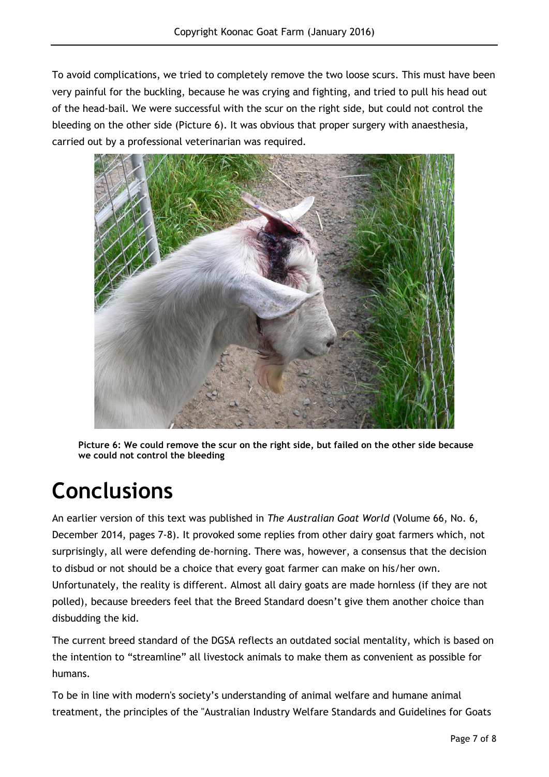To avoid complications, we tried to completely remove the two loose scurs. This must have been very painful for the buckling, because he was crying and fighting, and tried to pull his head out of the head-bail. We were successful with the scur on the right side, but could not control the bleeding on the other side (Picture 6). It was obvious that proper surgery with anaesthesia, carried out by a professional veterinarian was required.



**Picture 6: We could remove the scur on the right side, but failed on the other side because we could not control the bleeding**

## **Conclusions**

An earlier version of this text was published in *The Australian Goat World* (Volume 66, No. 6, December 2014, pages 7-8). It provoked some replies from other dairy goat farmers which, not surprisingly, all were defending de-horning. There was, however, a consensus that the decision to disbud or not should be a choice that every goat farmer can make on his/her own. Unfortunately, the reality is different. Almost all dairy goats are made hornless (if they are not polled), because breeders feel that the Breed Standard doesn't give them another choice than disbudding the kid.

The current breed standard of the DGSA reflects an outdated social mentality, which is based on the intention to "streamline" all livestock animals to make them as convenient as possible for humans.

To be in line with modern's society's understanding of animal welfare and humane animal treatment, the principles of the "Australian Industry Welfare Standards and Guidelines for Goats